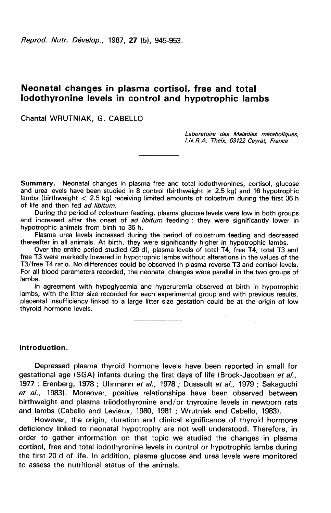Reprod. Nutr. Dévelop., 1987, 27 (5), 945-953.

# Neonatal changes in plasma cortisol, free and total iodothyronine levels in control and hypotrophic lambs

Chantal WRUTNIAK, G. CABELLO

Laboratoire des Maladies métaboliques, 1.N. R.A. Theix, 63122 Ceyrat France

Summary. Neonatal changes in plasma free and total iodothyronines, cortisol, glucose and urea levels have been studied in 8 control (birthweight  $\geq 2.5$  kg) and 16 hypotrophic lambs (birthweight  $< 2.5$  kg) receiving limited amounts of colostrum during the first 36 h of life and then fed ad libitum.

During the period of colostrum feeding, plasma glucose levels were low in both groups and increased after the onset of ad libitum feeding ; they were significantly lower in hypotrophic animals from birth to 36 h.

Plasma urea levels increased during the period of colostrum feeding and decreased thereafter in all animals. At birth, they were significantly higher in hypotrophic lambs.

Over the entire period studied (20 d), plasma levels of total T4, free T4, total T3 and free T3 were markedly lowered in hypotrophic lambs without alterations in the values of the T3/free T4 ratio. No differences could be observed in plasma reverse T3 and cortisol levels. For all blood parameters recorded, the neonatal changes were parallel in the two groups of lambs.

In agreement with hypoglycemia and hyperuremia observed at birth in hypotrophic lambs, with the litter size recorded for each experimental group and with previous results, placental insufficiency linked to a large litter size gestation could be at the origin of low thyroid hormone levels.

Introduction.

Depressed plasma thyroid hormone levels have been reported in small for gestational age (SGA) infants during the first days of life (Brock-Jacobsen et al., 1977 ; Erenberg, 1978 ; Uhrmann et al., 1978 ; Dussault et al., 1979 ; Sakaguchi et al., 1983). Moreover, positive relationships have been observed between birthweight and plasma triiodothyronine and/or thyroxine levels in newborn rats and lambs (Cabello and Levieux, 1980, 1981 ; Wrutniak and Cabello, 1983).

However, the origin, duration and clinical significance of thyroid hormone deficiency linked to neonatal hypotrophy are not well understood. Therefore, in order to gather information on that topic we studied the changes in plasma cortisol, free and total iodothyronine levels in control or hypotrophic lambs during the first 20 d of life. In addition, plasma glucose and urea levels were monitored to assess the nutritional status of the animals.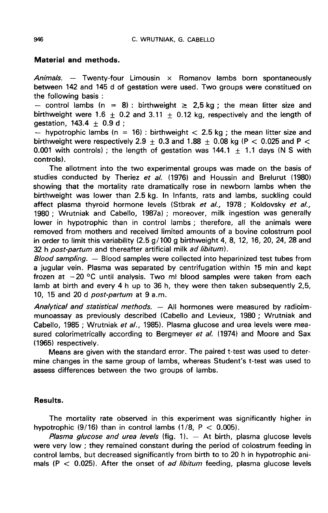### Material and methods.

Animals. — Twenty-four Limousin  $\times$  Romanov lambs born spontaneously between 142 and 145 d of gestation were used. Two groups were constitued on Material and methods.<br>
Animals. -- Twenty-four Limousin × Romanov lambs born spontaneously<br>
between 142 and 145 d of gestation were used. Two groups were constitued on<br>
the following basis :<br>
-- control lambs (n = 8) : bi

the following basis :<br>  $-$  control lambs (n = 8) : birthweight  $\geq 2.5$  kg ; the mean litter size and gestation, 143.4  $\pm$  0.9 d ;<br>- hypotrophic lambs (n = 16) : birthweight < 2.5 kg ; the mean litter size and

birthweight were respectively 2.9  $+$  0.3 and 1.88  $+$  0.08 kg (P  $<$  0.025 and P  $<$ 0.001 with controls); the length of gestation was  $144.1 \pm 1.1$  days (N S with controls).

The allotment into the two experimental groups was made on the basis of studies conducted by Theriez et al. (1976) and Houssin and Brelurut (1980) showing that the mortality rate dramatically rose in newborn lambs when the birthweight was lower than 2.5 kg. In Infants, rats and lambs, suckling could affect plasma thyroid hormone levels (Stbrak et al., 1978; Koldovsky et al., 1980 ; Wrutniak and Cabello, 1987a) ; moreover, milk ingestion was generally lower in hypotrophic than in control lambs ; therefore, all the animals were removed from mothers and received limited amounts of a bovine colostrum pool in order to limit this variability  $(2.5 g/100 g)$  birthweight 4, 8, 12, 16, 20, 24, 28 and 32 h post-partum and thereafter artificial milk ad libitum).

Blood sampling. — Blood samples were collected into heparinized test tubes from a jugular vein. Plasma was separated by centrifugation within 15 min and kept frozen at  $-20$  °C until analysis. Two ml blood samples were taken from each lamb at birth and every 4 h up to 36 h, they were then taken subsequently 2,5, 10, 15 and 20 d *post-partum* at 9 a.m.

Analytical and statistical methods. — All hormones were measured by radioimmunoassay as previously described (Cabello and Levieux, 1980 ; Wrutniak and Cabello, 1985 ; Wrutniak et al., 1985). Plasma glucose and urea levels were measured colorimetrically according to Bergmeyer et al. (1974) and Moore and Sax (1965) respectively.

Means are given with the standard error. The paired t-test was used to determine changes in the same group of lambs, whereas Student's t-test was used to assess differences between the two groups of lambs.

## Results.

The mortality rate observed in this experiment was significantly higher in hypotrophic  $(9/16)$  than in control lambs  $(1/8, P < 0.005)$ .

*Plasma glucose and urea levels* (fig. 1).  $-$  At birth, plasma glucose levels were very low ; they remained constant during the period of colostrum feeding in control lambs, but decreased significantly from birth to to 20 h in hypotrophic animals ( $P < 0.025$ ). After the onset of *ad libitum* feeding, plasma glucose levels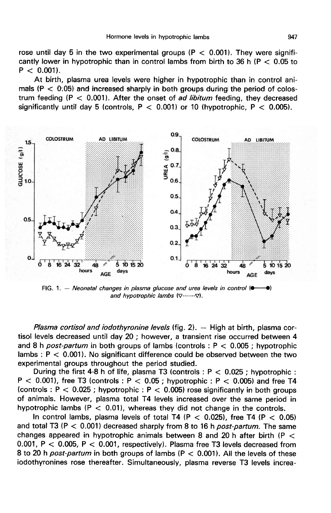rose until day 5 in the two experimental groups ( $P < 0.001$ ). They were significantly lower in hypotrophic than in control lambs from birth to 36 h ( $P < 0.05$  to  $P < 0.001$ ).

At birth, plasma urea levels were higher in hypotrophic than in control animals ( $P < 0.05$ ) and increased sharply in both groups during the period of colostrum feeding ( $P < 0.001$ ). After the onset of *ad libitum* feeding, they decreased significantly until day 5 (controls,  $P < 0.001$ ) or 10 (hypotrophic,  $P < 0.005$ ).



FIG. 1. - Neonatal changes in plasma glucose and urea levels in control  $\bullet$ ۰N 

*Plasma cortisol and iodothyronine levels* (fig.  $2$ ).  $-$  High at birth, plasma cortisol levels decreased until day 20 ; however, a transient rise occurred between 4 and 8 h post-partum in both groups of lambs (controls :  $P < 0.005$  ; hypotrophic lambs :  $P < 0.001$ ). No significant difference could be observed between the two experimental groups throughout the period studied.

During the first 4-8 h of life, plasma T3 (controls :  $P < 0.025$ ; hypotrophic :  $P < 0.001$ , free T3 (controls :  $P < 0.05$  ; hypotrophic :  $P < 0.005$ ) and free T4 (controls :  $P < 0.025$  ; hypotrophic :  $P < 0.005$ ) rose significantly in both groups of animals. However, plasma total T4 levels increased over the same period in hypotrophic lambs ( $P < 0.01$ ), whereas they did not change in the controls.

In control lambs, plasma levels of total T4 (P  $<$  0.025), free T4 (P  $<$  0.05) and total T3 ( $P < 0.001$ ) decreased sharply from 8 to 16 h *post-partum*. The same changes appeared in hypotrophic animals between 8 and 20 h after birth ( $P <$ 0.001,  $P < 0.005$ ,  $P < 0.001$ , respectively). Plasma free T3 levels decreased from 8 to 20 h *post-partum* in both groups of lambs ( $P < 0.001$ ). All the levels of these iodothyronines rose thereafter. Simultaneously, plasma reverse T3 levels increa-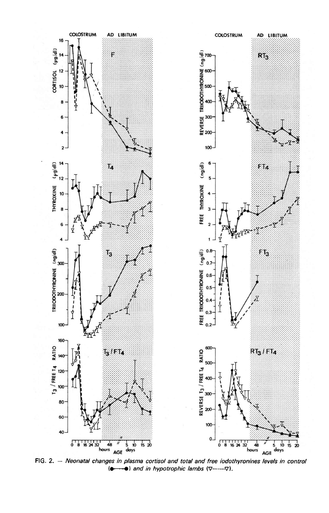

FIG. 2.  $-$  Neonatal changes in plasma cortisol and total and free iodothyronines levels in control  $\left( \bullet \right)$  and in hypotrophic lambs  $(\nabla$ ------- $\nabla)$ .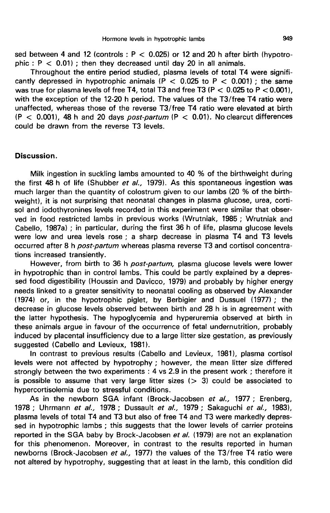sed between 4 and 12 (controls :  $P < 0.025$ ) or 12 and 20 h after birth (hypotrophic :  $P < 0.01$ ); then they decreased until day 20 in all animals.

Throughout the entire period studied, plasma levels of total T4 were significantly depressed in hypotrophic animals (P  $<$  0.025 to P  $<$  0.001) ; the same Throughout the entire period studied, plasma levels of total T4 were significantly depressed in hypotrophic animals ( $P < 0.025$  to  $P < 0.001$ ); the same was true for plasma levels of free T4, total T3 and free T3 ( $P < 0.0$ with the exception of the 12-20 h period. The values of the T3/free T4 ratio were unaffected, whereas those of the reverse T3/free T4 ratio were elevated at birth  $(P < 0.001)$ , 48 h and 20 days *post-partum*  $(P < 0.01)$ . No clearcut differences could be drawn from the reverse T3 levels.

### Discussion.

Milk ingestion in suckling lambs amounted to 40 % of the birthweight during the first 48 h of life (Shubber et al., 1979). As this spontaneous ingestion was much larger than the quantity of colostrum given to our lambs (20 % of the birthweight), it is not surprising that neonatal changes in plasma glucose, urea, cortisol and iodothyronines levels recorded in this experiment were similar that observed in food restricted lambs in previous works (Wrutniak, 1985 ; Wrutniak and Cabello, 1987a) ; in particular, during the first 36 h of life, plasma glucose levels were low and urea levels rose ; a sharp decrease in plasma T4 and T3 levels occurred after 8 h post-partum whereas plasma reverse T3 and cortisol concentrations increased transiently.

However, from birth to 36 h post-partum, plasma glucose levels were lower in hypotrophic than in control lambs. This could be partly explained by a depressed food digestibility (Houssin and Davicco, 1979) and probably by higher energy needs linked to a greater sensitivity to neonatal cooling as observed by Alexander (1974) or, in the hypotrophic piglet, by Berbigier and Dussuel (1977) ; the decrease in glucose levels observed between birth and 28 h is in agreement with the latter hypothesis. The hypoglycemia and hyperuremia observed at birth in these animals argue in favour of the occurrence of fetal undernutrition, probably induced by placental insufficiency due to a large litter size gestation, as previously suggested (Cabello and Levieux, 1981).

In contrast to previous results (Cabello and Levieux, 1981), plasma cortisol levels were not affected by hypotrophy ; however, the mean litter size differed strongly between the two experiments : 4 vs 2.9 in the present work ; therefore it is possible to assume that very large litter sizes  $(> 3)$  could be associated to hypercortisolemia due to stressful conditions.

As in the newborn SGA infant (Brock-Jacobsen et al., 1977; Erenberg, 1978 ; Uhrmann et al., 1978 ; Dussault et al., 1979 ; Sakaguchi et al., 1983), plasma levels of total T4 and T3 but also of free T4 and T3 were markedly depressed in hypotrophic lambs ; this suggests that the lower levels of carrier proteins reported in the SGA baby by Brock-Jacobsen et al. (1979) are not an explanation for this phenomenon. Moreover, in contrast to the results reported in human newborns (Brock-Jacobsen et al., 1977) the values of the T3/free T4 ratio were not altered by hypotrophy, suggesting that at least in the lamb, this condition did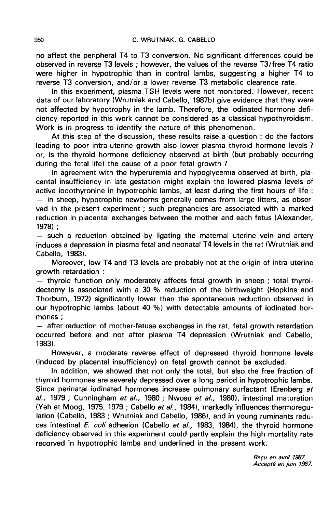no affect the peripheral T4 to T3 conversion. No significant differences could be observed in reverse T3 levels ; however, the values of the reverse T3/free T4 ratio were higher in hypotrophic than in control lambs, suggesting a higher T4 to reverse T3 conversion, and/or a lower reverse T3 metabolic clearence rate.

In this experiment, plasma TSH levels were not monitored. However, recent data of our laboratory (Wrutniak and Cabello, 1987b) give evidence that they were not affected by hypotrophy in the lamb. Therefore, the iodinated hormone deficiency reported in this work cannot be considered as a classical hypothyroidism. Work is in progress to identify the nature of this phenomenon.

At this step of the discussion, these results raise a question : do the factors leading to poor intra-uterine growth also lower plasma thyroid hormone levels ? or, is the thyroid hormone deficiency observed at birth (but probably occurring during the fetal life) the cause of a poor fetal growth ?

In agreement with the hyperuremia and hypoglycemia observed at birth, placental insufficiency in late gestation might explain the lowered plasma levels of active iodothyronine in hypotrophic lambs, at least during the first hours of life :  $-$  in sheep, hypotrophic newborns generally comes from large litters, as observed in the present experiment ; such pregnancies are associated with a marked reduction in placental exchanges between the mother and each fetus (Alexander, 1978);

 $-$  such a reduction obtained by ligating the maternal uterine vein and artery induces a depression in plasma fetal and neonatal T4 levels in the rat (Wrutniak and Cabello, 1983).

Moreover, low T4 and T3 levels are probably not at the origin of intra-uterine

growth retardation :<br>- thyroid function only moderately affects fetal growth in sheep ; total thyroidectomy is associated with a 30 % reduction of the birthweight (Hopkins and Thorburn, 1972) significantly lower than the spontaneous reduction observed in our hypotrophic lambs (about 40 %) with detectable amounts of iodinated hormones ;

 $-$  after reduction of mother-fetuse exchanges in the rat, fetal growth retardation occurred before and not after plasma T4 depression (Wrutniak and Cabello, 1983).

However, a moderate reverse effect of depressed thyroid hormone levels (induced by placental insufficiency) on fetal growth cannot be excluded.

In addition, we showed that not only the total, but also the free fraction of thyroid hormones are severely depressed over a long period in hypotrophic lambs. Since perinatal iodinated hormones increase pulmonary surfactant (Erenberg et al., 1979 ; Cunningham et al., 1980 ; Nwosu et al., 1980), intestinal maturation (Yeh et Moog, 1975, 1979 ; Cabello et al., 1984), markedly influences thermoregulation (Cabello, 1983 ; Wrutniak and Cabello, 1986), and in young ruminants reduces intestinal E. coli adhesion (Cabello et al., 1983, 1984), the thyroid hormone deficiency observed in this experiment could partly explain the high mortality rate recorved in hypotrophic lambs and underlined in the present work.

Recu en avril 1987. Accepté en juin 1987.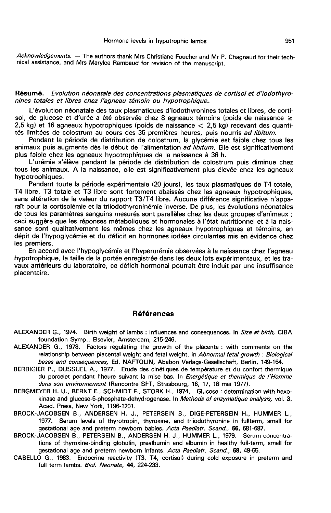Acknowledgements. - The authors thank Mrs Christiane Foucher and Mr P. Chagnaud for their technical assistance, and Mrs Marylee Rambaud for revision of the manuscript.

Résumé. Evolution néonatale des concentrations plasmatiques de cortisol et d'iodothyronines totales et libres chez l'agneau témoin ou hypotrophique.

L'évolution néonatale des taux plasmatiques d'iodothyronines totales et libres, de cortisol, de glucose et d'urée a été observée chez 8 agneaux témoins (poids de naissance  $\geq$ 2,5 kg) et 16 agneaux hypotrophiques (poids de naissance < 2,5 kg) recevant des quantités limitées de colostrum au cours des 36 premières heures, puis nourris ad libitum.

Pendant la période de distribution de colostrum, la glycémie est faible chez tous les animaux puis augmente dès le début de l'alimentation ad libitum. Elle est significativement plus faible chez les agneaux hypotrophiques de la naissance à 36 h.

L'urémie s'élève pendant la période de distribution de colostrum puis diminue chez tous les animaux. A la naissance, elle est significativement plus élevée chez les agneaux hypotrophiques.

Pendant toute la période expérimentale (20 jours), les taux plasmatiques de T4 totale, T4 libre, T3 totale et T3 libre sont fortement abaissés chez les agneaux hypotrophiques, sans altération de la valeur du rapport T3/T4 libre. Aucune différence significative n'apparaît pour la cortisolémie et la triiodothyroninémie inverse. De plus, les évolutions néonatales de tous les paramètres sanguins mesurés sont parallèles chez les deux groupes d'animaux ; ceci suggère que les réponses métaboliques et hormonales à l'état nutritionnel et à la naissance sont qualitativement les mêmes chez les agneaux hypotrophiques et témoins, en dépit de l'hypoglycémie et du déficit en hormones iodées circulantes mis en évidence chez les premiers.

En accord avec l'hypoglycémie et l'hyperurémie observées à la naissance chez l'agneau hypotrophique, la taille de la portée enregistrée dans les deux lots expérimentaux, et les travaux antérieurs du laboratoire, ce déficit hormonal pourrait être induit par une insuffisance placentaire.

### Références

- ALEXANDER G., 1974. Birth weight of lambs: influences and consequences. In Size at birth, CIBA foundation Symp., Elsevier, Amsterdam, 215-246.
- ALEXANDER G., 1978. Factors regulating the growth of the placenta : with comments on the relationship between placental weight and fetal weight. In Abnormal fetal growth : Biological DER G., 1974. Birth weight of lambs : influences and consequences. In *Size at birth,* CIBA<br>foundation Symp., Elsevier, Amsterdam, 215-246.<br>DER G., 1978. Factors regulating the growth of the placenta : with comments on
- BERBIGIER P., DUSSUEL A., 1977. Etude des cinétiques de température et du confort thermique du porcelet pendant l'heure suivant la mise bas. In Energétique et thermique de l'Homme dans son environnement (Rencontre SFT, Strasbourg, 16, 17, 18 mai 1977).
- BERGMEYER H. U., BERNT E., SCHMIDT F., STORK H., 1974. Glucose : determination with hexokinase and glucose-6-phosphate-dehydrogenase. In Methods of enzymatique analysis, vol. 3, Acad. Press, New York, 1196-1201.
- BROCK-JACOBSEN B., ANDERSEN H. J., PETERSEIN B., DIGE-PETERSEIN H., HUMMER L., 1977. Serum levels of thyrotropin, thyroxine, and triiodothyronine in fullterm, small for gestational age and preterm newborn babies. Acta Paediatr. Scand., 66, 681-687.
- BROCK-JACOBSEN B., PETERSEIN B., ANDERSEN H. J., HUMMER L., 1979. Serum concentrations of thyroxine-binding globulin, prealbumin and albumin in healthy full-term, small for gestational age and preterm newborn infants. Acta Paediatr. Scand., 68, 49-55.
- CABELLO G., 1983. Endocrine reactivity (T3, T4, cortisol) during cold exposure in preterm and full term lambs. Biol. Neonate, 44, 224-233.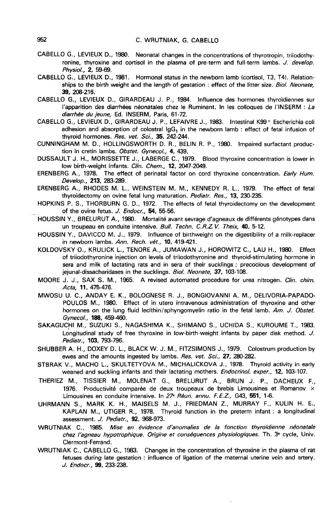- CABELLO G., LEVIEUX D., 1980. Neonatal changes in the concentrations of thyrotropin, triiodothyronine, thyroxine and cortisol in the plasma of pre-term and full-term lambs. J. develop. Physiol., 2, 59-69.
- CABELLO G., LEVIEUX D., 1981. Hormonal status in the newborn lamb (cortisol, T3, T4). Relationships to the birth weight and the length of gestation : effect of the litter size. Biol. Neonate, 39, 208-216.
- CABELLO G., LEVIEUX D., GIRARDEAU J. P., 1984. Influence des hormones thyrdidiennes sur l'apparition des diarrhées néonatales chez le Ruminant. In les colloques de l'INSERM : La diarrhée du jeune, Ed. INSERM, Paris, 61-72.
- CABELLO G., LEVIEUX D., GIRARDEAU J. P., LEFAIVRE J., 1983. Intestinal K99 + Escherichia coli adhesion and absorption of colostral  $\lg G_1$  in the newborn lamb : effect of fetal infusion of thyroid hormones. Res. vet. Sci., 35, 242-244.
- CUNNINGHAM M. D., HOLLINGSWORTH D. R., BELIN R. P., 1980. Impaired surfactant production in cretin lambs. Obstet. Gynecol., 4, 439.
- DUSSAULT J. H., MORISSETTE J., LABERGE C., 1979. Blood thyroxine concentration is lower in low birth-weight infants. Clin. Chem., 12, 2047-2049.
- ERENBERG A., 1978. The effect of perinatal factor on cord thyroxine concentration. Early Hum. Develop., 213, 283-289.
- ERENBERG A., RHODES M. L., WEINSTEIN M. M., KENNEDY R. L., 1979. The effect of fetal thyroidectomy on ovine fetal lung maturation. Pediatr. Res., 13, 230-235.
- HOPKINS P. S., THORBURN G. D., 1972. The effects of fetal thyroidectomy on the development . of the ovine fetus. J. Endocr., 54, 55-56.
	- HOUSSIN Y., BRELURUT A., 1980. Mortalité avant sevrage d'agneaux de différents génotypes dans un troupeau en conduite intensive. Bull. Techn. C.R.Z.V. Theix, 40, 5-12.
	- HOUSSIN Y., DAVICCO M. J., 1979. Influence of birthweight on the digestibility of a milk-replacer in newborn lambs. Ann. Rech. vét., 10, 419-421.
	- KOLDOVSKY O., KRULICK L., TENORE A., JUMAWAN J., HOROWITZ C., LAU H., 1980. Effect of triiodothyronine injection on levels of triiodothyronine and thyroid-stimulating hormone in sera and milk of lactating rats and in sera of their sucklings ; precocious development of jejunal-dissacharidases in the sucklings. Biol. Neonate, 37, 103-108.
	- MOORE J. J., SAX S. M., 1965. A revised automated procedure for urea nitrogen. Clin. chim. Acta, 11, 475-476.
	- MWOSU U. C., ANDAY E. K., BOLOGNESE R. J., BONGIOVANNI A. M., DELIVORIA-PAPADO-POULOS M., 1980. Effect of in utero intravenous administration of thyroxine and other hormones on the lung fluid lecithin/sphyngomyelin ratio in the fetal lamb. Am. J. Obstet. Gynecol., 188, 459-460.
	- SAKAGUCHI M., SUZUKI S., NAGASHIMA K., SHIMANO S., UCHIDA S., KUROUME T., 1983. Longitudinal study of free thyroxine in low-birth-weight infants by paper disk method. J. Pediatr., 103, 793-796.
	- SHUBBER A. H., DOXEY D. L., BLACK W. J. M., FITZSIMONS J., 1979. Colostrum production by ewes and the amounts ingested by lambs. Res. vet. Sci., 27, 280-282.
	- STBRAK V., MACHO L., SKULTETYOVA M., MICHALICKOVA J., 1978. Thyroid activity in early weaned and suckling infants and their lactating mothers. Endocrinol. exper., 12, 103-107.
	- THERIEZ M., TISSIER M., MOLENAT G., BRELURUT A., BRUN J. P., DACHEUX F., 1976. Productivité comparée de deux troupeaux de brebis Limousines et Romanov  $\times$ Limousines en conduite intensive. In 27<sup>e</sup> Réun. annu. F.E.Z., G43, 551, 1-6.
	- UHRMANN S., MARK K. H., MAISELS M. J., FRIEDMAN Z., MURRAY F., KULIN H. E., KAPLAN M., UTIGER R., 1978. Thyroid function in the preterm infant : a longitudinal assessment. J. Pediatr., 92, 968-973.
	- WRUTNIAK C., 1985. Mise en évidence d'anomalies de la fonction thyroïdienne néonatale chez l âgneau hypotrophique. Origine et conséquences physiologiques. Th. 3e cycle, Univ. Clermont-Ferrand.
	- WRUTNIAK C., CABELLO G., 1983. Changes in the concentration of thyroxine in the plasma of rat fetuses during late gestation : influence of ligation of the maternai uterine vein and artery. J. Endocr., 99, 233-238.